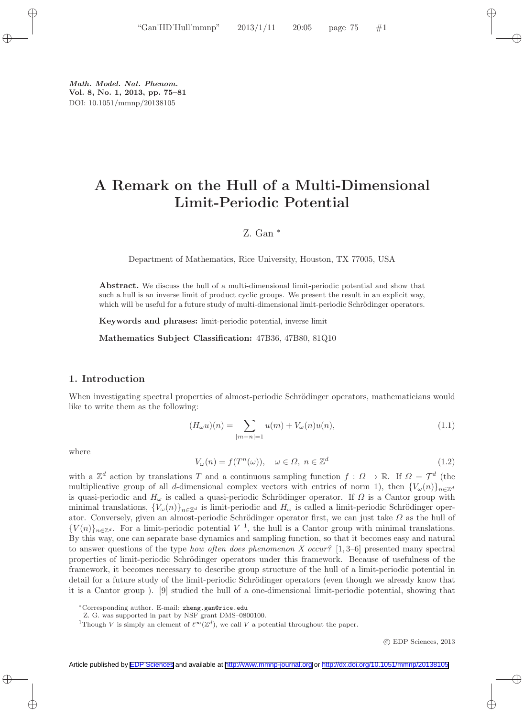# A Remark on the Hull of a Multi-Dimensional Limit-Periodic Potential

# Z. Gan <sup>∗</sup>

Department of Mathematics, Rice University, Houston, TX 77005, USA

Abstract. We discuss the hull of a multi-dimensional limit-periodic potential and show that such a hull is an inverse limit of product cyclic groups. We present the result in an explicit way, which will be useful for a future study of multi-dimensional limit-periodic Schrödinger operators.

Keywords and phrases: limit-periodic potential, inverse limit

Mathematics Subject Classification: 47B36, 47B80, 81Q10

## 1. Introduction

When investigating spectral properties of almost-periodic Schrödinger operators, mathematicians would like to write them as the following:

$$
(H_{\omega}u)(n) = \sum_{|m-n|=1} u(m) + V_{\omega}(n)u(n),
$$
\n(1.1)

where

$$
V_{\omega}(n) = f(T^n(\omega)), \quad \omega \in \Omega, \ n \in \mathbb{Z}^d \tag{1.2}
$$

with a  $\mathbb{Z}^d$  action by translations T and a continuous sampling function  $f: \Omega \to \mathbb{R}$ . If  $\Omega = \mathcal{T}^d$  (the multiplicative group of all d-dimensional complex vectors with entries of norm 1), then  ${V_\omega(n)}_{n\in\mathbb{Z}^d}$ is quasi-periodic and  $H_{\omega}$  is called a quasi-periodic Schrödinger operator. If  $\Omega$  is a Cantor group with minimal translations,  ${V_{\omega}(n)}_{n\in\mathbb{Z}^d}$  is limit-periodic and  $H_{\omega}$  is called a limit-periodic Schrödinger operator. Conversely, given an almost-periodic Schrödinger operator first, we can just take  $\Omega$  as the hull of  ${V(n)}_{n\in\mathbb{Z}^d}$ . For a limit-periodic potential V<sup>1</sup>, the hull is a Cantor group with minimal translations. By this way, one can separate base dynamics and sampling function, so that it becomes easy and natural to answer questions of the type *how often does phenomenon X occur?* [1, 3–6] presented many spectral properties of limit-periodic Schrödinger operators under this framework. Because of usefulness of the framework, it becomes necessary to describe group structure of the hull of a limit-periodic potential in detail for a future study of the limit-periodic Schrödinger operators (even though we already know that it is a Cantor group ). [9] studied the hull of a one-dimensional limit-periodic potential, showing that

c EDP Sciences, 2013

<sup>∗</sup>Corresponding author. E-mail: zheng.gan@rice.edu

Z. G. was supported in part by NSF grant DMS–0800100.

<sup>&</sup>lt;sup>1</sup>Though V is simply an element of  $\ell^{\infty}(\mathbb{Z}^d)$ , we call V a potential throughout the paper.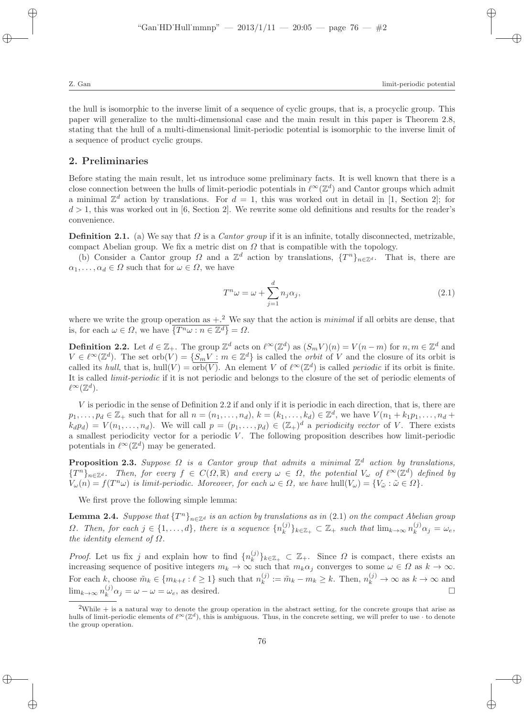the hull is isomorphic to the inverse limit of a sequence of cyclic groups, that is, a procyclic group. This paper will generalize to the multi-dimensional case and the main result in this paper is Theorem 2.8, stating that the hull of a multi-dimensional limit-periodic potential is isomorphic to the inverse limit of a sequence of product cyclic groups.

### 2. Preliminaries

Before stating the main result, let us introduce some preliminary facts. It is well known that there is a close connection between the hulls of limit-periodic potentials in  $\ell^{\infty}(\mathbb{Z}^d)$  and Cantor groups which admit a minimal  $\mathbb{Z}^d$  action by translations. For  $d = 1$ , this was worked out in detail in [1, Section 2]; for  $d > 1$ , this was worked out in [6, Section 2]. We rewrite some old definitions and results for the reader's convenience.

**Definition 2.1.** (a) We say that  $\Omega$  is a *Cantor group* if it is an infinite, totally disconnected, metrizable, compact Abelian group. We fix a metric dist on  $\Omega$  that is compatible with the topology.

(b) Consider a Cantor group  $\Omega$  and a  $\mathbb{Z}^d$  action by translations,  $\{T^n\}_{n\in\mathbb{Z}^d}$ . That is, there are  $\alpha_1, \ldots, \alpha_d \in \Omega$  such that for  $\omega \in \Omega$ , we have

$$
T^n \omega = \omega + \sum_{j=1}^d n_j \alpha_j,
$$
\n(2.1)

where we write the group operation as  $+$ <sup>2</sup>. We say that the action is *minimal* if all orbits are dense, that is, for each  $\omega \in \Omega$ , we have  $\overline{\{T^n \omega : n \in \mathbb{Z}^d\}} = \Omega$ .

**Definition 2.2.** Let  $d \in \mathbb{Z}_+$ . The group  $\mathbb{Z}^d$  acts on  $\ell^{\infty}(\mathbb{Z}^d)$  as  $(S_m V)(n) = V(n-m)$  for  $n, m \in \mathbb{Z}^d$  and  $V \in \ell^{\infty}(\mathbb{Z}^d)$ . The set  $orb(V) = \{S_m V : m \in \mathbb{Z}^d\}$  is called the *orbit* of V and the closure of its orbit is called its *hull*, that is, hull( $V$ ) =  $\overline{orb(V)}$ . An element V of  $\ell^{\infty}(\mathbb{Z}^d)$  is called *periodic* if its orbit is finite. It is called *limit-periodic* if it is not periodic and belongs to the closure of the set of periodic elements of  $\ell^{\infty}(\mathbb{Z}^d).$ 

V is periodic in the sense of Definition 2.2 if and only if it is periodic in each direction, that is, there are  $p_1,\ldots,p_d\in\mathbb{Z}_+$  such that for all  $n=(n_1,\ldots,n_d), k=(k_1,\ldots,k_d)\in\mathbb{Z}^d$ , we have  $V(n_1+k_1p_1,\ldots,n_d+k_d)$  $(k_d p_d) = V(n_1, \ldots, n_d)$ . We will call  $p = (p_1, \ldots, p_d) \in (\mathbb{Z}_+)^d$  a *periodicity vector* of V. There exists a smallest periodicity vector for a periodic  $V$ . The following proposition describes how limit-periodic potentials in  $\ell^{\infty}(\mathbb{Z}^d)$  may be generated.

**Proposition 2.3.** Suppose  $\Omega$  is a Cantor group that admits a minimal  $\mathbb{Z}^d$  action by translations,  ${T^n}_{n \in \mathbb{Z}^d}$ . Then, for every  $f \in C(\Omega, \mathbb{R})$  and every  $\omega \in \Omega$ , the potential  $V_\omega$  of  $\ell^{\infty}(\mathbb{Z}^d)$  defined by  $V_{\omega}(n) = f(T^n \omega)$  *is limit-periodic. Moreover, for each*  $\omega \in \Omega$ *, we have* hull $(V_{\omega}) = \{V_{\tilde{\omega}} : \tilde{\omega} \in \Omega\}$ *.* 

We first prove the following simple lemma:

**Lemma 2.4.** *Suppose that*  $\{T^n\}_{n\in\mathbb{Z}^d}$  *is an action by translations as in* (2.1) *on the compact Abelian group*  $\Omega$ *. Then, for each*  $j \in \{1, \ldots, d\}$ , there is a sequence  $\{n_k^{(j)}\}$  ${k \choose k}$ <sub>k</sub> $\in \mathbb{Z}_+$   $\subset \mathbb{Z}_+$  *such that*  $\lim_{k \to \infty} n_k^{(j)} \alpha_j = \omega_e$ , *the identity element of* Ω*.*

*Proof.* Let us fix j and explain how to find  $\{n_k^{(j)}\}$  $\{(\mathcal{G})\}_{k\in\mathbb{Z}_+} \subset \mathbb{Z}_+$ . Since  $\Omega$  is compact, there exists an increasing sequence of positive integers  $m_k \to \infty$  such that  $m_k \alpha_j$  converges to some  $\omega \in \Omega$  as  $k \to \infty$ . For each k, choose  $\tilde{m}_k \in \{m_{k+\ell} : \ell \geq 1\}$  such that  $n_k^{(j)}$  $k_k^{(j)} := \tilde{m}_k - m_k \geq k$ . Then,  $n_k^{(j)} \to \infty$  as  $k \to \infty$  and  $\lim_{k \to \infty} n_k^{(j)} \alpha_j = \omega - \omega = \omega_e$ , as desired.

 $2$ While  $+$  is a natural way to denote the group operation in the abstract setting, for the concrete groups that arise as hulls of limit-periodic elements of  $\ell^{\infty}(\mathbb{Z}^d)$ , this is ambiguous. Thus, in the concrete setting, we will prefer to use  $\cdot$  to denote the group operation.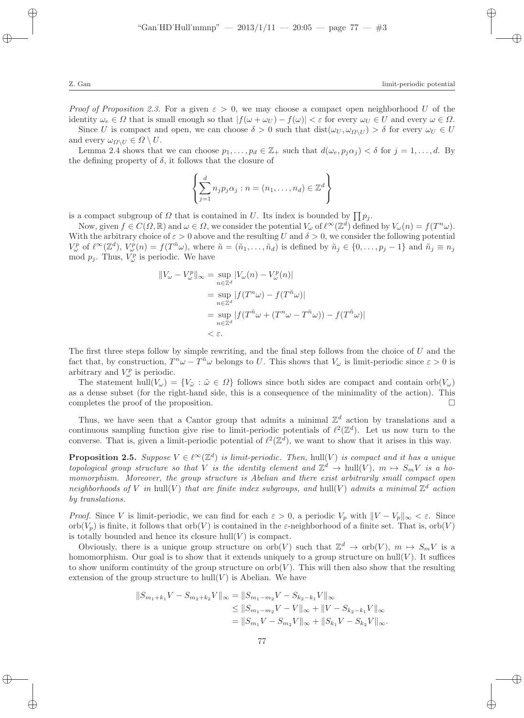*Proof of Proposition 2.3.* For a given  $\varepsilon > 0$ , we may choose a compact open neighborhood U of the identity  $\omega_e \in \Omega$  that is small enough so that  $|f(\omega + \omega_U) - f(\omega)| < \varepsilon$  for every  $\omega_U \in U$  and every  $\omega \in \Omega$ .

Since U is compact and open, we can choose  $\delta > 0$  such that  $dist(\omega_U, \omega_{\Omega \setminus U}) > \delta$  for every  $\omega_U \in U$ and every  $\omega_{\Omega\setminus U} \in \Omega \setminus U$ .

Lemma 2.4 shows that we can choose  $p_1, \ldots, p_d \in \mathbb{Z}_+$  such that  $d(\omega_e, p_j \alpha_j) < \delta$  for  $j = 1, \ldots, d$ . By the defining property of  $\delta$ , it follows that the closure of

$$
\left\{\sum_{j=1}^d n_j p_j \alpha_j : n = (n_1, \dots, n_d) \in \mathbb{Z}^d\right\}
$$

is a compact subgroup of  $\Omega$  that is contained in U. Its index is bounded by  $\prod p_j$ .

Now, given  $f \in C(\Omega,\mathbb{R})$  and  $\omega \in \Omega$ , we consider the potential  $V_{\omega}$  of  $\ell^{\infty}(\mathbb{Z}^d)$  defined by  $V_{\omega}(n) = f(T^n\omega)$ . With the arbitrary choice of  $\varepsilon > 0$  above and the resulting U and  $\delta > 0$ , we consider the following potential  $V^p_\omega$  of  $\ell^\infty(\mathbb{Z}^d)$ ,  $V^p_\omega(n) = f(T^{\tilde{n}}\omega)$ , where  $\tilde{n} = (\tilde{n}_1,\ldots,\tilde{n}_d)$  is defined by  $\tilde{n}_j \in \{0,\ldots,p_j-1\}$  and  $\tilde{n}_j \equiv n_j$ mod  $p_j$ . Thus,  $V^p_\omega$  is periodic. We have

$$
||V_{\omega} - V_{\omega}^{p}||_{\infty} = \sup_{n \in \mathbb{Z}^{d}} |V_{\omega}(n) - V_{\omega}^{p}(n)|
$$
  
= 
$$
\sup_{n \in \mathbb{Z}^{d}} |f(T^{n}\omega) - f(T^{\tilde{n}}\omega)|
$$
  
= 
$$
\sup_{n \in \mathbb{Z}^{d}} |f(T^{\tilde{n}}\omega + (T^{n}\omega - T^{\tilde{n}}\omega)) - f(T^{\tilde{n}}\omega)|
$$
  
< 
$$
< \varepsilon.
$$

The first three steps follow by simple rewriting, and the final step follows from the choice of U and the fact that, by construction,  $T^n \omega - T^n \omega$  belongs to U. This shows that  $V_\omega$  is limit-periodic since  $\varepsilon > 0$  is arbitrary and  $V^p_\omega$  is periodic.

The statement hull( $V_\omega$ ) = { $V_{\tilde{\omega}}$ :  $\tilde{\omega} \in \Omega$ } follows since both sides are compact and contain orb $(V_\omega)$ as a dense subset (for the right-hand side, this is a consequence of the minimality of the action). This completes the proof of the proposition.  $\square$ 

Thus, we have seen that a Cantor group that admits a minimal  $\mathbb{Z}^d$  action by translations and a continuous sampling function give rise to limit-periodic potentials of  $\ell^2(\mathbb{Z}^d)$ . Let us now turn to the converse. That is, given a limit-periodic potential of  $\ell^2(\mathbb{Z}^d)$ , we want to show that it arises in this way.

**Proposition 2.5.** Suppose  $V \in \ell^{\infty}(\mathbb{Z}^d)$  is limit-periodic. Then, hull(V) is compact and it has a unique *topological group structure so that* V *is the identity element and*  $\mathbb{Z}^d \to \text{hull}(V)$ ,  $m \mapsto S_m V$  *is a homomorphism. Moreover, the group structure is Abelian and there exist arbitrarily small compact open* neighborhoods of V in hull(V) that are finite index subgroups, and hull(V) admits a minimal  $\mathbb{Z}^d$  action *by translations.*

*Proof.* Since V is limit-periodic, we can find for each  $\varepsilon > 0$ , a periodic  $V_p$  with  $||V - V_p||_{\infty} < \varepsilon$ . Since orb $(V_p)$  is finite, it follows that orb $(V)$  is contained in the  $\varepsilon$ -neighborhood of a finite set. That is, orb $(V)$ is totally bounded and hence its closure  $hull(V)$  is compact.

Obviously, there is a unique group structure on orb(V) such that  $\mathbb{Z}^d \to \text{orb}(V)$ ,  $m \mapsto S_m V$  is a homomorphism. Our goal is to show that it extends uniquely to a group structure on  $hull(V)$ . It suffices to show uniform continuity of the group structure on  $orb(V)$ . This will then also show that the resulting extension of the group structure to  $hull(V)$  is Abelian. We have

$$
||S_{m_1+k_1}V - S_{m_2+k_2}V||_{\infty} = ||S_{m_1-m_2}V - S_{k_2-k_1}V||_{\infty}
$$
  
\n
$$
\leq ||S_{m_1-m_2}V - V||_{\infty} + ||V - S_{k_2-k_1}V||_{\infty}
$$
  
\n
$$
= ||S_{m_1}V - S_{m_2}V||_{\infty} + ||S_{k_1}V - S_{k_2}V||_{\infty}.
$$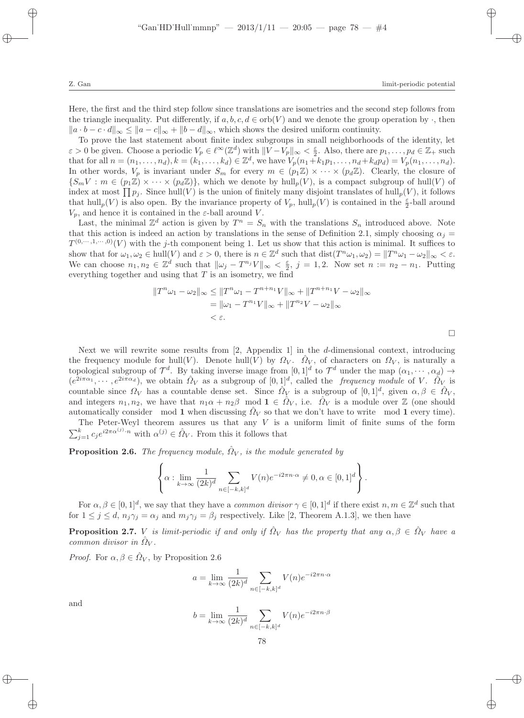Here, the first and the third step follow since translations are isometries and the second step follows from the triangle inequality. Put differently, if  $a, b, c, d \in \text{orb}(V)$  and we denote the group operation by  $\cdot$ , then  $||a \cdot b - c \cdot d||_{\infty} \le ||a - c||_{\infty} + ||b - d||_{\infty}$ , which shows the desired uniform continuity.

To prove the last statement about finite index subgroups in small neighborhoods of the identity, let  $\varepsilon > 0$  be given. Choose a periodic  $V_p \in \ell^{\infty}(\mathbb{Z}^d)$  with  $||V - V_p||_{\infty} < \frac{\varepsilon}{2}$ . Also, there are  $p_1, \ldots, p_d \in \mathbb{Z}_+$  such that for all  $n = (n_1, ..., n_d), k = (k_1, ..., k_d) \in \mathbb{Z}^d$ , we have  $V_p(n_1 + k_1p_1, ..., n_d + k_d p_d) = V_p(n_1, ..., n_d)$ . In other words,  $V_p$  is invariant under  $S_m$  for every  $m \in (p_1\mathbb{Z}) \times \cdots \times (p_d\mathbb{Z})$ . Clearly, the closure of  ${S_mV : m \in (p_1\mathbb{Z}) \times \cdots \times (p_d\mathbb{Z})}$ , which we denote by hull<sub>p</sub>(V), is a compact subgroup of hull(V) of index at most  $\prod p_j$ . Since hull(V) is the union of finitely many disjoint translates of hull<sub>p</sub>(V), it follows that  $hull_p(V)$  is also open. By the invariance property of  $V_p$ ,  $hull_p(V)$  is contained in the  $\frac{\varepsilon}{2}$ -ball around  $V_p$ , and hence it is contained in the  $\varepsilon$ -ball around V.

Last, the minimal  $\mathbb{Z}^d$  action is given by  $T^n = S_n$  with the translations  $S_n$  introduced above. Note that this action is indeed an action by translations in the sense of Definition 2.1, simply choosing  $\alpha_i =$  $T^{(0,\cdots,1,\cdots,0)}(V)$  with the j-th component being 1. Let us show that this action is minimal. It suffices to show that for  $\omega_1, \omega_2 \in \text{hull}(V)$  and  $\varepsilon > 0$ , there is  $n \in \mathbb{Z}^d$  such that  $\text{dist}(T^n \omega_1, \omega_2) = ||T^n \omega_1 - \omega_2||_{\infty} < \varepsilon$ . We can choose  $n_1, n_2 \in \mathbb{Z}^d$  such that  $\|\omega_j - T^{n_j}V\|_{\infty} < \frac{\varepsilon}{2}$ ,  $j = 1, 2$ . Now set  $n := n_2 - n_1$ . Putting everything together and using that  $T$  is an isometry, we find

$$
||T^{n}\omega_{1} - \omega_{2}||_{\infty} \le ||T^{n}\omega_{1} - T^{n+n_{1}}V||_{\infty} + ||T^{n+n_{1}}V - \omega_{2}||_{\infty}
$$
  
=  $||\omega_{1} - T^{n_{1}}V||_{\infty} + ||T^{n_{2}}V - \omega_{2}||_{\infty}$   
<  $\epsilon$ .

Next we will rewrite some results from  $[2,$  Appendix 1 in the d-dimensional context, introducing the frequency module for hull(V). Denote hull(V) by  $\Omega_V$ .  $\hat{\Omega}_V$ , of characters on  $\Omega_V$ , is naturally a topological subgroup of  $\mathcal{T}^d$ . By taking inverse image from  $[0,1]^d$  to  $\mathcal{T}^d$  under the map  $(\alpha_1,\cdots,\alpha_d)$   $\rightarrow$  $(e^{2i\pi\alpha_1},\dots,e^{2i\pi\alpha_d})$ , we obtain  $\hat{\Omega}_V$  as a subgroup of  $[0,1]^d$ , called the *frequency module* of V.  $\hat{\Omega}_V$  is countable since  $\Omega_V$  has a countable dense set. Since  $\hat{\Omega}_V$  is a subgroup of  $[0,1]^d$ , given  $\alpha, \beta \in \hat{\Omega}_V$ , and integers  $n_1, n_2$ , we have that  $n_1\alpha + n_2\beta \mod 1 \in \hat{\Omega}_V$ , i.e.  $\hat{\Omega}_V$  is a module over  $\mathbb Z$  (one should automatically consider mod 1 when discussing  $\hat{\Omega}_V$  so that we don't have to write mod 1 every time).

The Peter-Weyl theorem assures us that any  $V$  is a uniform limit of finite sums of the form  $\sum_{j=1}^{k} c_j e^{i2\pi \alpha^{(j)} \cdot n}$  with  $\alpha^{(j)} \in \hat{\Omega}_V$ . From this it follows that

**Proposition 2.6.** *The frequency module,*  $\hat{\Omega}_V$ *, is the module generated by* 

$$
\left\{\alpha : \lim_{k \to \infty} \frac{1}{(2k)^d} \sum_{n \in [-k,k]^d} V(n) e^{-i2\pi n \cdot \alpha} \neq 0, \alpha \in [0,1]^d \right\}.
$$

For  $\alpha, \beta \in [0,1]^d$ , we say that they have a *common divisor*  $\gamma \in [0,1]^d$  if there exist  $n, m \in \mathbb{Z}^d$  such that for  $1 \leq j \leq d$ ,  $n_j \gamma_j = \alpha_j$  and  $m_j \gamma_j = \beta_j$  respectively. Like [2, Theorem A.1.3], we then have

**Proposition 2.7.** V *is limit-periodic if and only if*  $\hat{\Omega}_V$  *has the property that any*  $\alpha, \beta \in \hat{\Omega}_V$  *have a common divisor in*  $\hat{\Omega}_V$ .

*Proof.* For  $\alpha, \beta \in \hat{\Omega}_V$ , by Proposition 2.6

$$
a = \lim_{k \to \infty} \frac{1}{(2k)^d} \sum_{n \in [-k, k]^d} V(n) e^{-i2\pi n \cdot \alpha}
$$

and

$$
b = \lim_{k \to \infty} \frac{1}{(2k)^d} \sum_{n \in [-k, k]^d} V(n) e^{-i2\pi n \cdot \beta}
$$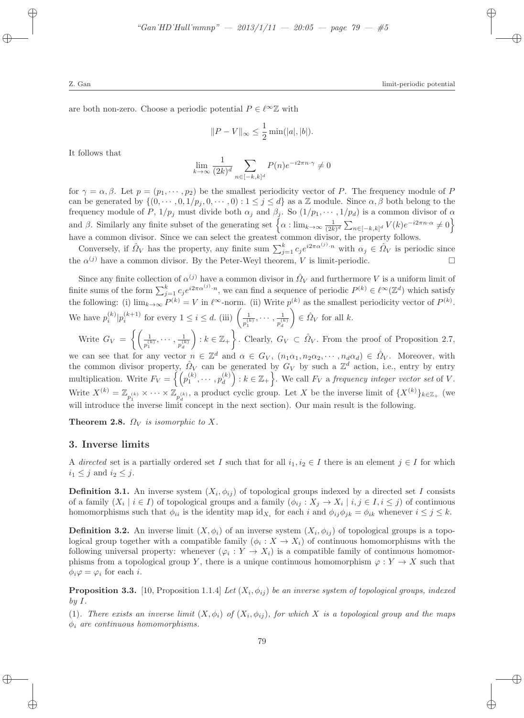are both non-zero. Choose a periodic potential  $P \in \ell^{\infty} \mathbb{Z}$  with

$$
||P - V||_{\infty} \le \frac{1}{2} \min(|a|, |b|).
$$

It follows that

$$
\lim_{k \to \infty} \frac{1}{(2k)^d} \sum_{n \in [-k, k]^d} P(n) e^{-i2\pi n \cdot \gamma} \neq 0
$$

for  $\gamma = \alpha, \beta$ . Let  $p = (p_1, \dots, p_2)$  be the smallest periodicity vector of P. The frequency module of P can be generated by  $\{(0, \dots, 0, 1/p_j, 0, \dots, 0): 1 \leq j \leq d\}$  as a Z module. Since  $\alpha, \beta$  both belong to the frequency module of P,  $1/p_j$  must divide both  $\alpha_j$  and  $\beta_j$ . So  $(1/p_1, \dots, 1/p_d)$  is a common divisor of  $\alpha$ and β. Similarly any finite subset of the generating set  $\left\{\alpha : \lim_{k \to \infty} \frac{1}{(2k)^d} \sum_{n \in [-k,k]^d} V(k) e^{-i2\pi n \cdot \alpha} \neq 0\right\}$ have a common divisor. Since we can select the greatest common divisor, the property follows.

Conversely, if  $\hat{\Omega}_V$  has the property, any finite sum  $\sum_{j=1}^k c_j e^{i2\pi \alpha^{(j)}\cdot n}$  with  $\alpha_j \in \hat{\Omega}_V$  is periodic since the  $\alpha^{(j)}$  have a common divisor. By the Peter-Weyl theorem, V is limit-periodic.

Since any finite collection of  $\alpha^{(j)}$  have a common divisor in  $\hat{\Omega}_V$  and furthermore V is a uniform limit of finite sums of the form  $\sum_{j=1}^{k} c_j e^{i2\pi \alpha^{(j)}\cdot n}$ , we can find a sequence of periodic  $P^{(k)} \in \ell^{\infty}(\mathbb{Z}^d)$  which satisfy the following: (i)  $\lim_{k\to\infty} P^{(k)} = V$  in  $\ell^{\infty}$ -norm. (ii) Write  $p^{(k)}$  as the smallest periodicity vector of  $P^{(k)}$ . We have  $p_i^{(k)}|p_i^{(k+1)}$  for every  $1 \leq i \leq d$ . (iii)  $\left(\frac{1}{n^{(i)}}\right)$  $\frac{1}{p_1^{(k)}}, \cdots, \frac{1}{p_d^{(l)}}$  $p_d^{(k)}$  $\Big) \in \hat{\Omega}_V$  for all k.

Write  $G_V = \left\{ \begin{pmatrix} 1 & 0 \\ 0 & 1 \end{pmatrix} \right\}$  $\frac{1}{p_1^{(k)}}, \cdots, \frac{1}{p_d^{(l)}}$  $p_d^{(k)}$  $\Big) : k \in \mathbb{Z}_+ \Big\}$ . Clearly,  $G_V \subset \hat{\Omega}_V$ . From the proof of Proposition 2.7,

we can see that for any vector  $n \in \mathbb{Z}^d$  and  $\alpha \in G_V$ ,  $(n_1\alpha_1, n_2\alpha_2, \cdots, n_d\alpha_d) \in \hat{\Omega}_V$ . Moreover, with the common divisor property,  $\hat{Q}_V$  can be generated by  $G_V$  by such a  $\mathbb{Z}^d$  action, i.e., entry by entry multiplication. Write  $F_V = \left\{ \left( p_1^{(k)}, \cdots, p_d^{(k)} \right) \right\}$  $\begin{bmatrix} (k) \ d \end{bmatrix}$ :  $k \in \mathbb{Z}_+$ . We call  $F_V$  a *frequency integer vector set* of V. Write  $X^{(k)} = \mathbb{Z}_{p_1^{(k)}} \times \cdots \times \mathbb{Z}_{p_d^{(k)}}$ , a product cyclic group. Let X be the inverse limit of  $\{X^{(k)}\}_{k \in \mathbb{Z}_+}$  (we will introduce the inverse limit concept in the next section). Our main result is the following.

**Theorem 2.8.**  $\Omega_V$  *is isomorphic to* X.

#### 3. Inverse limits

A *directed* set is a partially ordered set I such that for all  $i_1, i_2 \in I$  there is an element  $j \in I$  for which  $i_1 \leq j$  and  $i_2 \leq j$ .

**Definition 3.1.** An inverse system  $(X_i, \phi_{ij})$  of topological groups indexed by a directed set I consists of a family  $(X_i \mid i \in I)$  of topological groups and a family  $(\phi_{ij} : X_j \to X_i \mid i, j \in I, i \leq j)$  of continuous homomorphisms such that  $\phi_{ii}$  is the identity map  $id_{X_i}$  for each i and  $\phi_{ij}\phi_{jk} = \phi_{ik}$  whenever  $i \leq j \leq k$ .

**Definition 3.2.** An inverse limit  $(X, \phi_i)$  of an inverse system  $(X_i, \phi_{ij})$  of topological groups is a topological group together with a compatible family  $(\phi_i : X \to X_i)$  of continuous homomorphisms with the following universal property: whenever  $(\varphi_i: Y \to X_i)$  is a compatible family of continuous homomorphisms from a topological group Y, there is a unique continuous homomorphism  $\varphi: Y \to X$  such that  $\phi_i \varphi = \varphi_i$  for each *i*.

**Proposition 3.3.** [10, Proposition 1.1.4] *Let*  $(X_i, \phi_{ij})$  *be an inverse system of topological groups, indexed by* I*.*

(1). There exists an inverse limit  $(X, \phi_i)$  of  $(X_i, \phi_{ij})$ , for which X is a topological group and the maps φ<sup>i</sup> *are continuous homomorphisms.*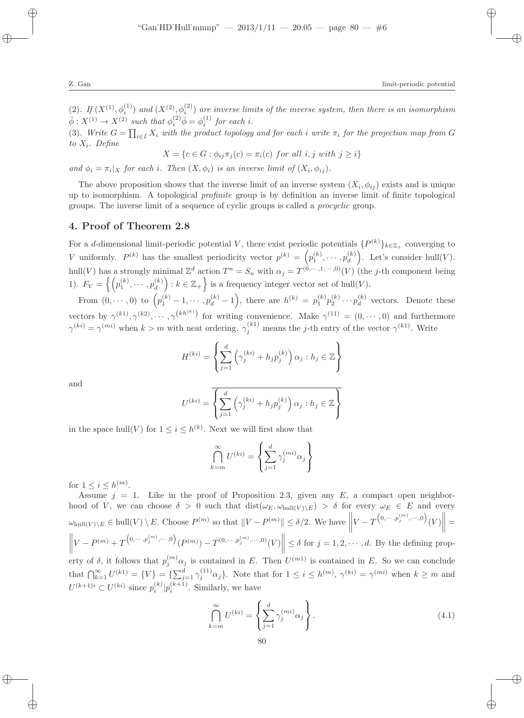(2). If  $(X^{(1)}, \phi_i^{(1)})$  and  $(X^{(2)}, \phi_i^{(2)})$  are inverse limits of the inverse system, then there is an isomorphism  $\bar{\phi}: X^{(1)} \to X^{(2)}$  such that  $\phi_i^{(2)} \bar{\phi} = \phi_i^{(1)}$  for each *i*.

(3). Write  $G = \prod_{i \in I} X_i$  with the product topology and for each i write  $\pi_i$  for the projection map from G *to* Xi*. Define*

 $X = \{c \in G : \phi_{ij}\pi_j(c) = \pi_i(c) \text{ for all } i, j \text{ with } j \geq i\}$ 

*and*  $\phi_i = \pi_i | X$  *for each i. Then*  $(X, \phi_i)$  *is an inverse limit of*  $(X_i, \phi_{ij})$ *.* 

The above proposition shows that the inverse limit of an inverse system  $(X_i, \phi_{ij})$  exists and is unique up to isomorphism. A topological *profinite* group is by definition an inverse limit of finite topological groups. The inverse limit of a sequence of cyclic groups is called a *procyclic* group.

# 4. Proof of Theorem 2.8

For a d-dimensional limit-periodic potential V, there exist periodic potentials  $\{P^{(k)}\}_{k\in\mathbb{Z}_+}$  converging to V uniformly.  $P^{(k)}$  has the smallest periodicity vector  $p^{(k)} = (p_1^{(k)}, \dots, p_d^{(k)})$  $\binom{k}{d}$ . Let's consider hull(V). hull(V) has a strongly minimal  $\mathbb{Z}^d$  action  $T^n = S_n$  with  $\alpha_j = T^{(0,\cdots,1,\cdots,0)}(V)$  (the j-th component being 1).  $F_V = \left\{ \left( p_1^{(k)}, \cdots, p_d^{(k)} \right) \right\}$  $\begin{bmatrix} (k) \\ d \end{bmatrix}$ :  $k \in \mathbb{Z}_+$  is a frequency integer vector set of hull $(V)$ .

From  $(0, \dots, 0)$  to  $(p_1^{(k)} - 1, \dots, p_d^{(k)} - 1)$ , there are  $h^{(k)} = p_1^{(k)} p_2^{(k)} \dots p_d^{(k)}$  $\frac{d}{d}$  vectors. Denote these vectors by  $\gamma^{(k)}$ ,  $\gamma^{(k2)}$ ,  $\cdots$ ,  $\gamma^{(kh(k))}$  for writing convenience. Make  $\gamma^{(11)} = (0, \cdots, 0)$  and furthermore  $\gamma^{(ki)} = \gamma^{(mi)}$  when  $k > m$  with neat ordering.  $\gamma_j^{(k1)}$  means the j-th entry of the vector  $\gamma^{(k1)}$ . Write

$$
H^{(ki)} = \left\{ \sum_{j=1}^{d} \left( \gamma_j^{(ki)} + h_j p_j^{(k)} \right) \alpha_j : h_j \in \mathbb{Z} \right\}
$$

and

$$
U^{(ki)} = \overline{\left\{ \sum_{j=1}^{d} \left( \gamma_j^{(ki)} + h_j p_j^{(k)} \right) \alpha_j : h_j \in \mathbb{Z} \right\}}
$$

in the space hull(V) for  $1 \leq i \leq h^{(k)}$ . Next we will first show that

$$
\bigcap_{k=m}^{\infty} U^{(ki)} = \left\{ \sum_{j=1}^{d} \gamma_j^{(mi)} \alpha_j \right\}
$$

for  $1 \leq i \leq h^{(m)}$ .

Assume  $j = 1$ . Like in the proof of Proposition 2.3, given any E, a compact open neighborhood of V, we can choose  $\delta > 0$  such that  $dist(\omega_E, \omega_{\text{hull}(V) \setminus E}) > \delta$  for every  $\omega_E \in E$  and every  $\omega_{\text{hull}(V)\setminus E} \in \text{hull}(V) \setminus E$ . Choose  $P^{(m)}$  so that  $||V - P^{(m)}|| \le \delta/2$ . We have  $||V - T^{(0, \dots, p_j^{(m)}, \dots, 0)}(V)|| =$  $\left\| V - P^{(m)} + T^{(0,\dots,p_j^{(m)},\dots,0)}(P^{(m)}) - T^{(0,\dots,p_j^{(m)},\dots,0)}(V) \right\| \leq \delta \text{ for } j = 1,2,\dots,d.$  By the defining prop- $\parallel$ 

erty of  $\delta$ , it follows that  $p_j^{(m)}\alpha_j$  is contained in E. Then  $U^{(m)}$  is contained in E. So we can conclude that  $\bigcap_{k=1}^{\infty} U^{(k)} = \{V\} = \{\sum_{j=1}^{d} \gamma_j^{(11)} \alpha_j\}.$  Note that for  $1 \leq i \leq h^{(m)}$ ,  $\gamma^{(ki)} = \gamma^{(mi)}$  when  $k \geq m$  and  $U^{(k+1)i} \subset U^{(ki)}$  since  $p_i^{(k)} | p_i^{(k+1)}$ . Similarly, we have

$$
\bigcap_{k=m}^{\infty} U^{(ki)} = \left\{ \sum_{j=1}^{d} \gamma_j^{(mi)} \alpha_j \right\}.
$$
\n(4.1)